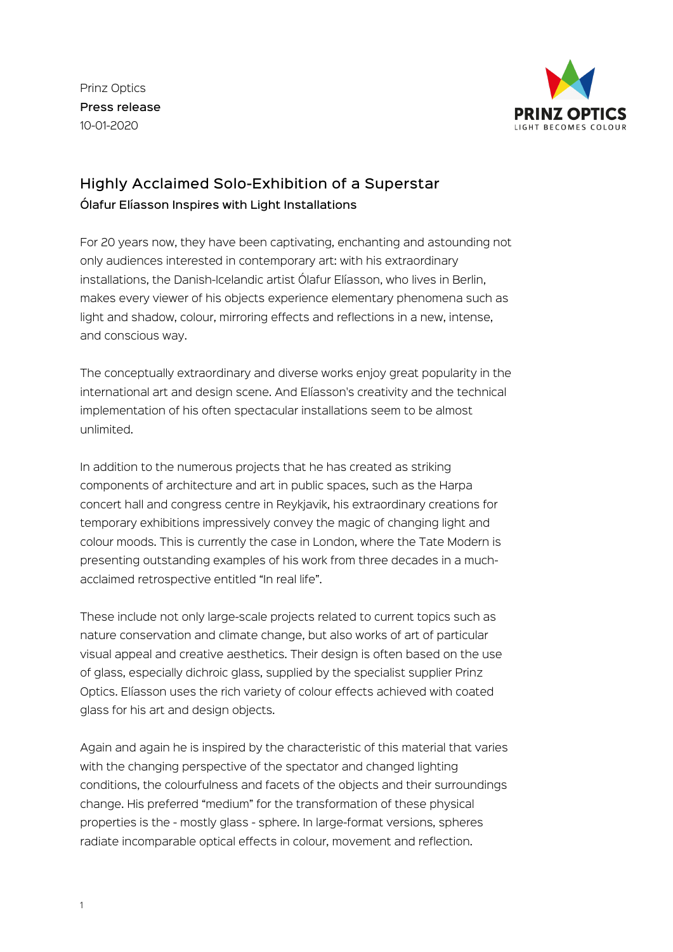Prinz Optics Press release 10-01-2020



## Highly Acclaimed Solo-Exhibition of a Superstar Ólafur Elíasson Inspires with Light Installations

For 20 years now, they have been captivating, enchanting and astounding not only audiences interested in contemporary art: with his extraordinary installations, the Danish-Icelandic artist Ólafur Elíasson, who lives in Berlin, makes every viewer of his objects experience elementary phenomena such as light and shadow, colour, mirroring effects and reflections in a new, intense, and conscious way.

The conceptually extraordinary and diverse works enjoy great popularity in the international art and design scene. And Elíasson's creativity and the technical implementation of his often spectacular installations seem to be almost unlimited.

In addition to the numerous projects that he has created as striking components of architecture and art in public spaces, such as the Harpa concert hall and congress centre in Reykjavik, his extraordinary creations for temporary exhibitions impressively convey the magic of changing light and colour moods. This is currently the case in London, where the Tate Modern is presenting outstanding examples of his work from three decades in a muchacclaimed retrospective entitled "In real life".

These include not only large-scale projects related to current topics such as nature conservation and climate change, but also works of art of particular visual appeal and creative aesthetics. Their design is often based on the use of glass, especially dichroic glass, supplied by the specialist supplier Prinz Optics. Elíasson uses the rich variety of colour effects achieved with coated glass for his art and design objects.

Again and again he is inspired by the characteristic of this material that varies with the changing perspective of the spectator and changed lighting conditions, the colourfulness and facets of the objects and their surroundings change. His preferred "medium" for the transformation of these physical properties is the - mostly glass - sphere. In large-format versions, spheres radiate incomparable optical effects in colour, movement and reflection.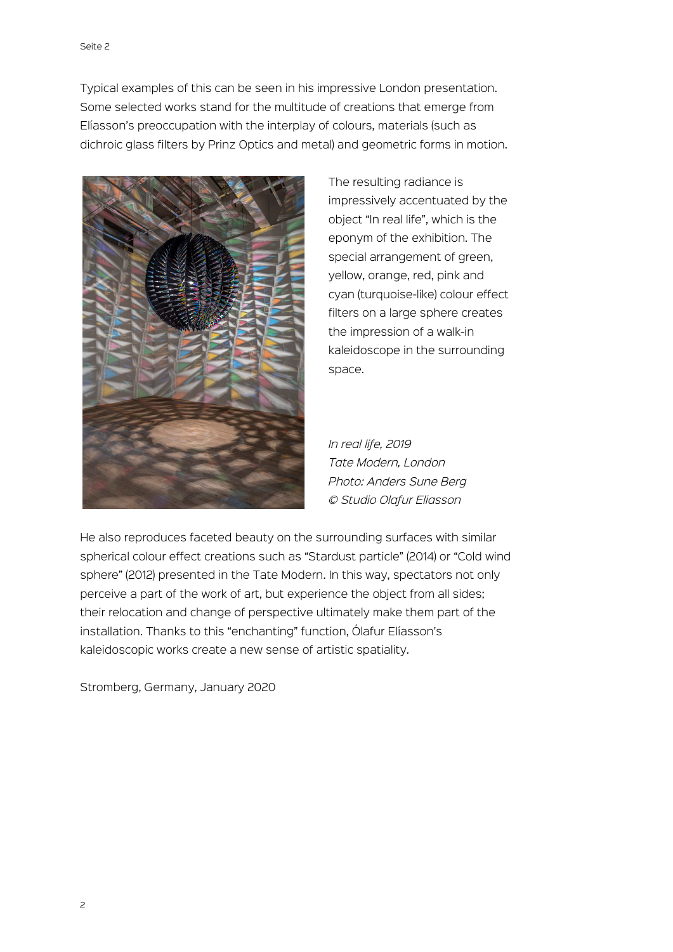Typical examples of this can be seen in his impressive London presentation. Some selected works stand for the multitude of creations that emerge from Elíasson's preoccupation with the interplay of colours, materials (such as dichroic glass filters by Prinz Optics and metal) and geometric forms in motion.



The resulting radiance is impressively accentuated by the object "In real life", which is the eponym of the exhibition. The special arrangement of green, yellow, orange, red, pink and cyan (turquoise-like) colour effect filters on a large sphere creates the impression of a walk-in kaleidoscope in the surrounding space.

*In real life, 2019 Tate Modern, London Photo: Anders Sune Berg © Studio Olafur Eliasson*

He also reproduces faceted beauty on the surrounding surfaces with similar spherical colour effect creations such as "Stardust particle" (2014) or "Cold wind sphere" (2012) presented in the Tate Modern. In this way, spectators not only perceive a part of the work of art, but experience the object from all sides; their relocation and change of perspective ultimately make them part of the installation. Thanks to this "enchanting" function, Ólafur Elíasson's kaleidoscopic works create a new sense of artistic spatiality.

Stromberg, Germany, January 2020